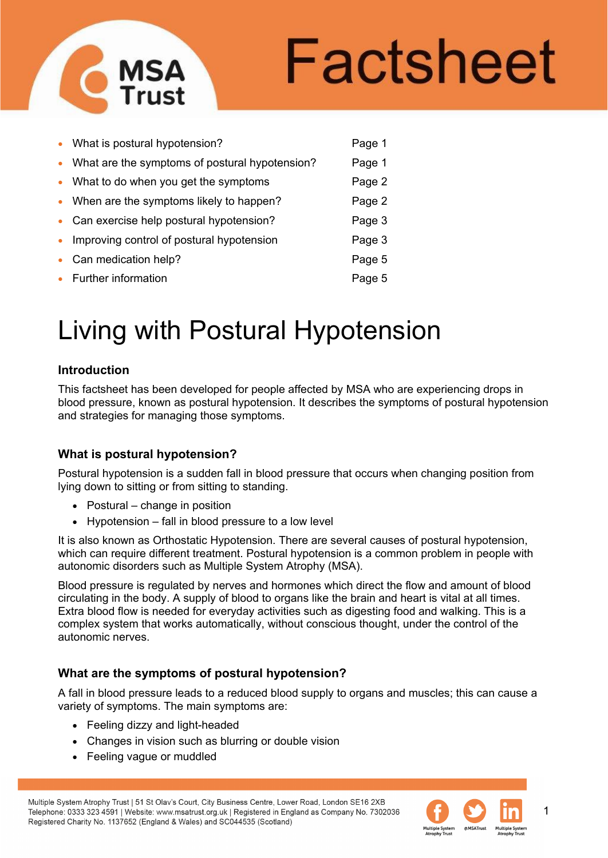

# Factsheet

|           | • What is postural hypotension?                  | Page 1 |
|-----------|--------------------------------------------------|--------|
|           | • What are the symptoms of postural hypotension? | Page 1 |
|           | • What to do when you get the symptoms           | Page 2 |
|           | • When are the symptoms likely to happen?        | Page 2 |
|           | • Can exercise help postural hypotension?        | Page 3 |
| $\bullet$ | Improving control of postural hypotension        | Page 3 |
|           | • Can medication help?                           | Page 5 |
|           | • Further information                            | Page 5 |
|           |                                                  |        |

# Living with Postural Hypotension

# **Introduction**

This factsheet has been developed for people affected by MSA who are experiencing drops in blood pressure, known as postural hypotension. It describes the symptoms of postural hypotension and strategies for managing those symptoms.

# **What is postural hypotension?**

Postural hypotension is a sudden fall in blood pressure that occurs when changing position from lying down to sitting or from sitting to standing.

- Postural change in position
- Hypotension fall in blood pressure to a low level

It is also known as Orthostatic Hypotension. There are several causes of postural hypotension, which can require different treatment. Postural hypotension is a common problem in people with autonomic disorders such as Multiple System Atrophy (MSA).

Blood pressure is regulated by nerves and hormones which direct the flow and amount of blood circulating in the body. A supply of blood to organs like the brain and heart is vital at all times. Extra blood flow is needed for everyday activities such as digesting food and walking. This is a complex system that works automatically, without conscious thought, under the control of the autonomic nerves.

# **What are the symptoms of postural hypotension?**

A fall in blood pressure leads to a reduced blood supply to organs and muscles; this can cause a variety of symptoms. The main symptoms are:

- Feeling dizzy and light-headed
- Changes in vision such as blurring or double vision
- Feeling vague or muddled



1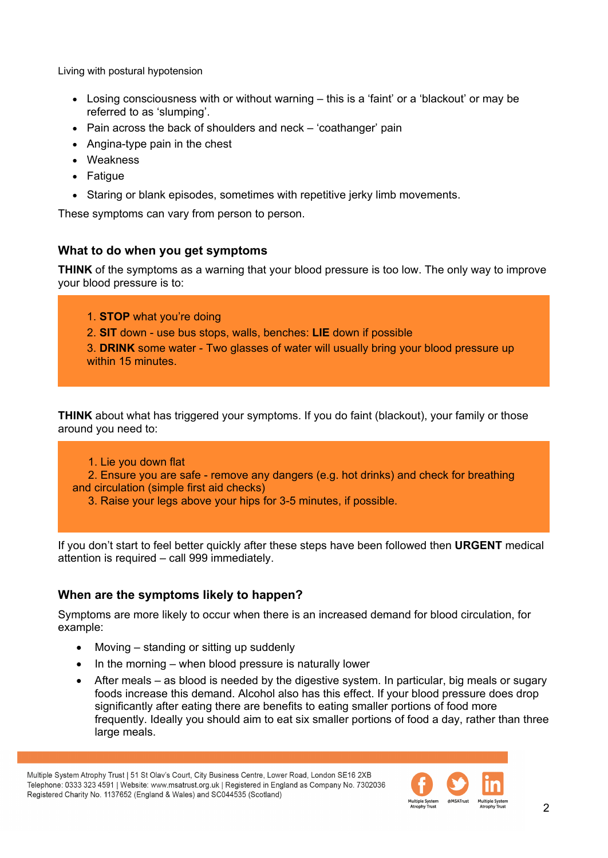- Losing consciousness with or without warning this is a 'faint' or a 'blackout' or may be referred to as 'slumping'.
- Pain across the back of shoulders and neck 'coathanger' pain
- Angina-type pain in the chest
- Weakness
- Fatigue
- Staring or blank episodes, sometimes with repetitive jerky limb movements.

These symptoms can vary from person to person.

# **What to do when you get symptoms**

**THINK** of the symptoms as a warning that your blood pressure is too low. The only way to improve your blood pressure is to:

- 1. **STOP** what you're doing
- 2. **SIT** down use bus stops, walls, benches: **LIE** down if possible
- 3. **DRINK** some water Two glasses of water will usually bring your blood pressure up within 15 minutes.

**THINK** about what has triggered your symptoms. If you do faint (blackout), your family or those around you need to:

#### 1. Lie you down flat

 2. Ensure you are safe - remove any dangers (e.g. hot drinks) and check for breathing and circulation (simple first aid checks)

3. Raise your legs above your hips for 3-5 minutes, if possible.

If you don't start to feel better quickly after these steps have been followed then **URGENT** medical attention is required – call 999 immediately.

# **When are the symptoms likely to happen?**

Symptoms are more likely to occur when there is an increased demand for blood circulation, for example:

- Moving standing or sitting up suddenly
- In the morning when blood pressure is naturally lower
- After meals as blood is needed by the digestive system. In particular, big meals or sugary foods increase this demand. Alcohol also has this effect. If your blood pressure does drop significantly after eating there are benefits to eating smaller portions of food more frequently. Ideally you should aim to eat six smaller portions of food a day, rather than three large meals.

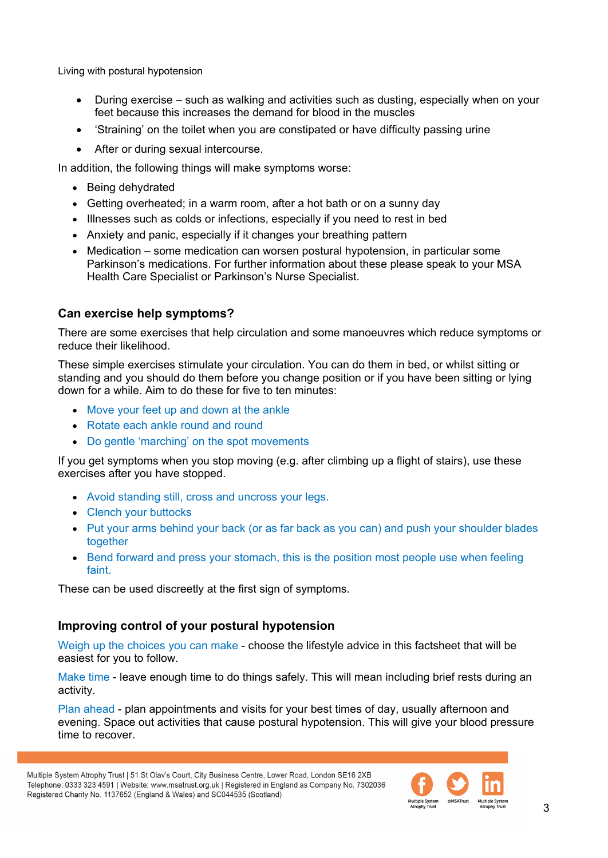- During exercise such as walking and activities such as dusting, especially when on your feet because this increases the demand for blood in the muscles
- 'Straining' on the toilet when you are constipated or have difficulty passing urine
- After or during sexual intercourse.

In addition, the following things will make symptoms worse:

- Being dehydrated
- Getting overheated; in a warm room, after a hot bath or on a sunny day
- Illnesses such as colds or infections, especially if you need to rest in bed
- Anxiety and panic, especially if it changes your breathing pattern
- Medication some medication can worsen postural hypotension, in particular some Parkinson's medications. For further information about these please speak to your MSA Health Care Specialist or Parkinson's Nurse Specialist.

# **Can exercise help symptoms?**

There are some exercises that help circulation and some manoeuvres which reduce symptoms or reduce their likelihood.

These simple exercises stimulate your circulation. You can do them in bed, or whilst sitting or standing and you should do them before you change position or if you have been sitting or lying down for a while. Aim to do these for five to ten minutes:

- Move your feet up and down at the ankle
- Rotate each ankle round and round
- Do gentle 'marching' on the spot movements

If you get symptoms when you stop moving (e.g. after climbing up a flight of stairs), use these exercises after you have stopped.

- Avoid standing still, cross and uncross your legs.
- Clench your buttocks
- Put your arms behind your back (or as far back as you can) and push your shoulder blades together
- Bend forward and press your stomach, this is the position most people use when feeling faint.

These can be used discreetly at the first sign of symptoms.

# **Improving control of your postural hypotension**

Weigh up the choices you can make - choose the lifestyle advice in this factsheet that will be easiest for you to follow.

Make time - leave enough time to do things safely. This will mean including brief rests during an activity.

Plan ahead - plan appointments and visits for your best times of day, usually afternoon and evening. Space out activities that cause postural hypotension. This will give your blood pressure time to recover.

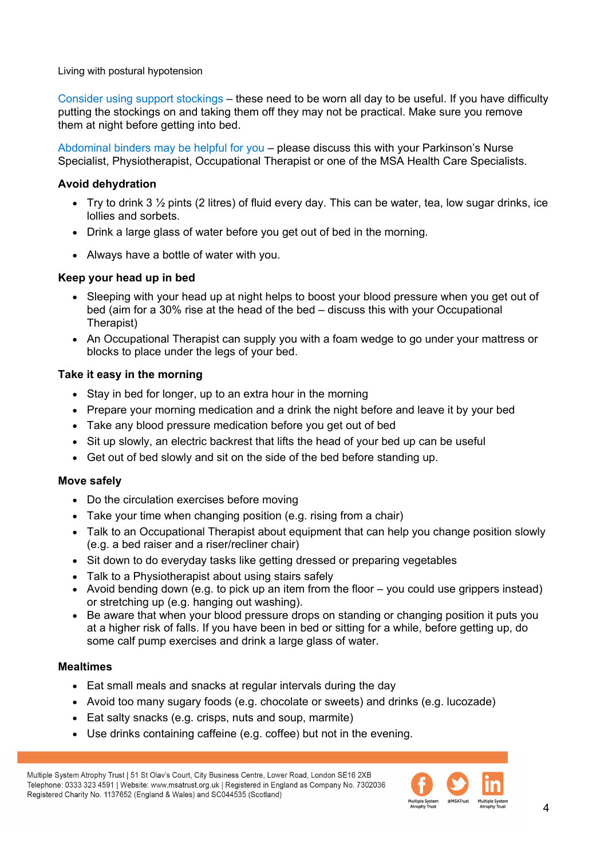Consider using support stockings – these need to be worn all day to be useful. If you have difficulty putting the stockings on and taking them off they may not be practical. Make sure you remove them at night before getting into bed.

Abdominal binders may be helpful for you – please discuss this with your Parkinson's Nurse Specialist, Physiotherapist, Occupational Therapist or one of the MSA Health Care Specialists.

# **Avoid dehydration**

- Try to drink 3  $\frac{1}{2}$  pints (2 litres) of fluid every day. This can be water, tea, low sugar drinks, ice lollies and sorbets.
- Drink a large glass of water before you get out of bed in the morning.
- Always have a bottle of water with you.

# **Keep your head up in bed**

- Sleeping with your head up at night helps to boost your blood pressure when you get out of bed (aim for a 30% rise at the head of the bed – discuss this with your Occupational Therapist)
- An Occupational Therapist can supply you with a foam wedge to go under your mattress or blocks to place under the legs of your bed.

#### **Take it easy in the morning**

- Stay in bed for longer, up to an extra hour in the morning
- Prepare your morning medication and a drink the night before and leave it by your bed
- Take any blood pressure medication before you get out of bed
- Sit up slowly, an electric backrest that lifts the head of your bed up can be useful
- Get out of bed slowly and sit on the side of the bed before standing up.

#### **Move safely**

- Do the circulation exercises before moving
- Take your time when changing position (e.g. rising from a chair)
- Talk to an Occupational Therapist about equipment that can help you change position slowly (e.g. a bed raiser and a riser/recliner chair)
- Sit down to do everyday tasks like getting dressed or preparing vegetables
- Talk to a Physiotherapist about using stairs safely
- Avoid bending down (e.g. to pick up an item from the floor you could use grippers instead) or stretching up (e.g. hanging out washing).
- Be aware that when your blood pressure drops on standing or changing position it puts you at a higher risk of falls. If you have been in bed or sitting for a while, before getting up, do some calf pump exercises and drink a large glass of water.

#### **Mealtimes**

- Eat small meals and snacks at regular intervals during the day
- Avoid too many sugary foods (e.g. chocolate or sweets) and drinks (e.g. lucozade)
- Eat salty snacks (e.g. crisps, nuts and soup, marmite)
- Use drinks containing caffeine (e.g. coffee) but not in the evening.

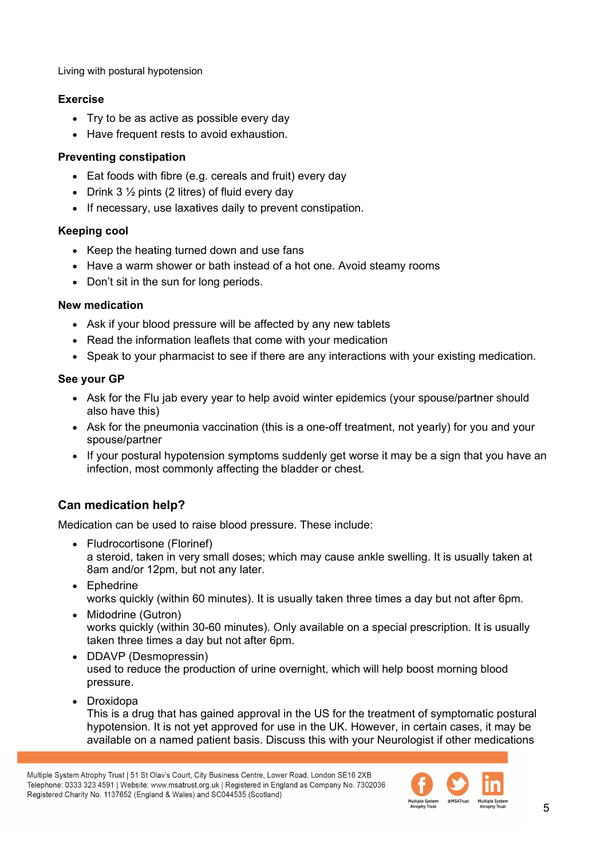# **Exercise**

- Try to be as active as possible every day
- Have frequent rests to avoid exhaustion.

# **Preventing constipation**

- Eat foods with fibre (e.g. cereals and fruit) every day
- Drink 3  $\frac{1}{2}$  pints (2 litres) of fluid every day
- If necessary, use laxatives daily to prevent constipation.

# **Keeping cool**

- Keep the heating turned down and use fans
- Have a warm shower or bath instead of a hot one. Avoid steamy rooms
- Don't sit in the sun for long periods.

# **New medication**

- Ask if your blood pressure will be affected by any new tablets
- Read the information leaflets that come with your medication
- Speak to your pharmacist to see if there are any interactions with your existing medication.

# **See your GP**

- Ask for the Flu jab every year to help avoid winter epidemics (your spouse/partner should also have this)
- Ask for the pneumonia vaccination (this is a one-off treatment, not yearly) for you and your spouse/partner
- If your postural hypotension symptoms suddenly get worse it may be a sign that you have an infection, most commonly affecting the bladder or chest.

# **Can medication help?**

Medication can be used to raise blood pressure. These include:

- Fludrocortisone (Florinef) a steroid, taken in very small doses; which may cause ankle swelling. It is usually taken at 8am and/or 12pm, but not any later.
- Ephedrine works quickly (within 60 minutes). It is usually taken three times a day but not after 6pm.
- Midodrine (Gutron) works quickly (within 30-60 minutes). Only available on a special prescription. It is usually taken three times a day but not after 6pm.
- DDAVP (Desmopressin) used to reduce the production of urine overnight, which will help boost morning blood pressure.
- Droxidopa

This is a drug that has gained approval in the US for the treatment of symptomatic postural hypotension. It is not yet approved for use in the UK. However, in certain cases, it may be available on a named patient basis. Discuss this with your Neurologist if other medications

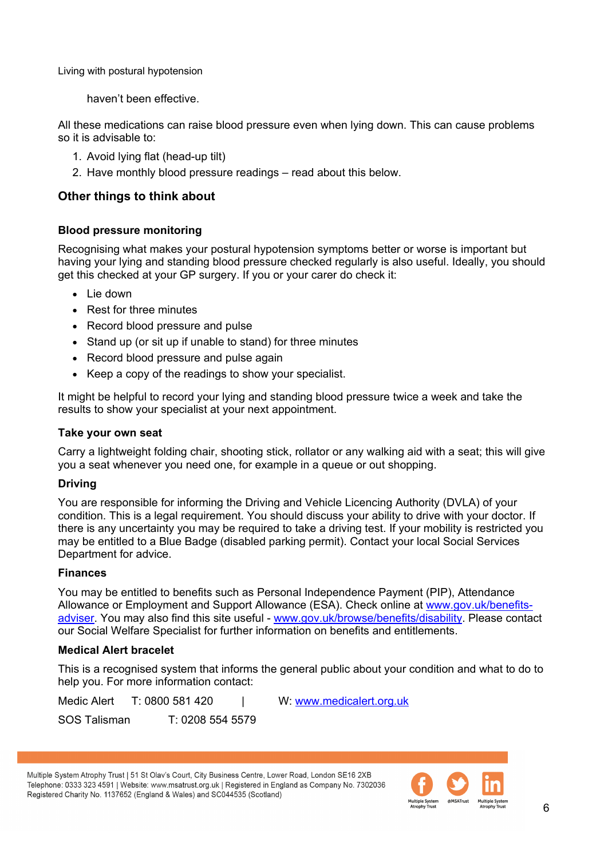haven't been effective.

All these medications can raise blood pressure even when lying down. This can cause problems so it is advisable to:

- 1. Avoid lying flat (head-up tilt)
- 2. Have monthly blood pressure readings read about this below.

# **Other things to think about**

# **Blood pressure monitoring**

Recognising what makes your postural hypotension symptoms better or worse is important but having your lying and standing blood pressure checked regularly is also useful. Ideally, you should get this checked at your GP surgery. If you or your carer do check it:

- Lie down
- Rest for three minutes
- Record blood pressure and pulse
- Stand up (or sit up if unable to stand) for three minutes
- Record blood pressure and pulse again
- Keep a copy of the readings to show your specialist.

It might be helpful to record your lying and standing blood pressure twice a week and take the results to show your specialist at your next appointment.

#### **Take your own seat**

Carry a lightweight folding chair, shooting stick, rollator or any walking aid with a seat; this will give you a seat whenever you need one, for example in a queue or out shopping.

#### **Driving**

You are responsible for informing the Driving and Vehicle Licencing Authority (DVLA) of your condition. This is a legal requirement. You should discuss your ability to drive with your doctor. If there is any uncertainty you may be required to take a driving test. If your mobility is restricted you may be entitled to a Blue Badge (disabled parking permit). Contact your local Social Services Department for advice.

#### **Finances**

You may be entitled to benefits such as Personal Independence Payment (PIP), Attendance Allowance or Employment and Support Allowance (ESA). Check online at [www.gov.uk/benefits](http://www.gov.uk/benefits-adviser)[adviser.](http://www.gov.uk/benefits-adviser) You may also find this site useful - [www.gov.uk/browse/benefits/disability.](http://www.gov.uk/browse/benefits/disability) Please contact our Social Welfare Specialist for further information on benefits and entitlements.

#### **Medical Alert bracelet**

This is a recognised system that informs the general public about your condition and what to do to help you. For more information contact:

Medic Alert T: 0800 581 420 | W: www.medicalert.org.uk SOS Talisman T: 0208 554 5579

Multiple System Atrophy Trust | 51 St Olav's Court, City Business Centre, Lower Road, London SE16 2XB Telephone: 0333 323 4591 | Website: www.msatrust.org.uk | Registered in England as Company No. 7302036 Registered Charity No. 1137652 (England & Wales) and SC044535 (Scotland)

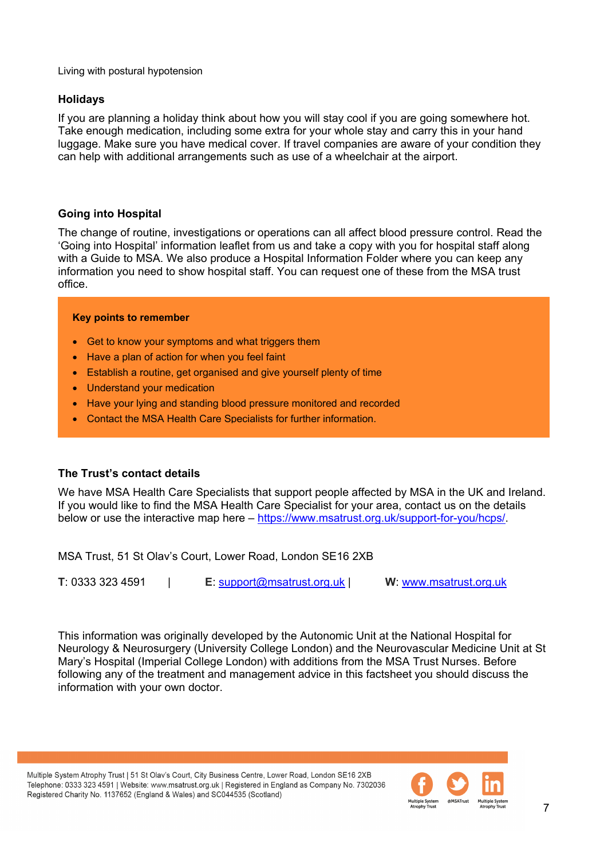#### **Holidays**

If you are planning a holiday think about how you will stay cool if you are going somewhere hot. Take enough medication, including some extra for your whole stay and carry this in your hand luggage. Make sure you have medical cover. If travel companies are aware of your condition they can help with additional arrangements such as use of a wheelchair at the airport.

# **Going into Hospital**

The change of routine, investigations or operations can all affect blood pressure control. Read the 'Going into Hospital' information leaflet from us and take a copy with you for hospital staff along with a Guide to MSA. We also produce a Hospital Information Folder where you can keep any information you need to show hospital staff. You can request one of these from the MSA trust office.

#### **Key points to remember**

- Get to know your symptoms and what triggers them
- Have a plan of action for when you feel faint
- Establish a routine, get organised and give yourself plenty of time
- Understand your medication
- Have your lying and standing blood pressure monitored and recorded
- Contact the MSA Health Care Specialists for further information.

# **The Trust's contact details**

We have MSA Health Care Specialists that support people affected by MSA in the UK and Ireland. If you would like to find the MSA Health Care Specialist for your area, contact us on the details below or use the interactive map here – [https://www.msatrust.org.uk/support-for-you/hcps/.](https://www.msatrust.org.uk/support-for-you/hcps/)

MSA Trust, 51 St Olav's Court, Lower Road, London SE16 2XB

**T**: 0333 323 4591 | **E**: [support@msatrust.org.uk](mailto:support@msatrust.org.uk) | **W**: [www.msatrust.org.uk](http://www.msatrust.org.uk/) 

This information was originally developed by the Autonomic Unit at the National Hospital for Neurology & Neurosurgery (University College London) and the Neurovascular Medicine Unit at St Mary's Hospital (Imperial College London) with additions from the MSA Trust Nurses. Before following any of the treatment and management advice in this factsheet you should discuss the information with your own doctor.

Multiple System Atrophy Trust | 51 St Olav's Court, City Business Centre, Lower Road, London SE16 2XB Telephone: 0333 323 4591 | Website: www.msatrust.org.uk | Registered in England as Company No. 7302036 Registered Charity No. 1137652 (England & Wales) and SC044535 (Scotland)